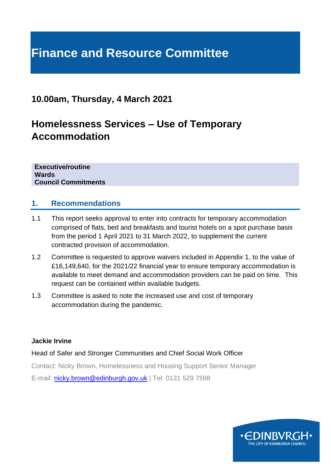# **Finance and Resource Committee**

# **10.00am, Thursday, 4 March 2021**

# **Homelessness Services – Use of Temporary Accommodation**

**Executive/routine Wards Council Commitments**

#### **1. Recommendations**

- 1.1 This report seeks approval to enter into contracts for temporary accommodation comprised of flats, bed and breakfasts and tourist hotels on a spot purchase basis from the period 1 April 2021 to 31 March 2022, to supplement the current contracted provision of accommodation.
- 1.2 Committee is requested to approve waivers included in Appendix 1, to the value of £16,149,640, for the 2021/22 financial year to ensure temporary accommodation is available to meet demand and accommodation providers can be paid on time. This request can be contained within available budgets.
- 1.3 Committee is asked to note the increased use and cost of temporary accommodation during the pandemic.

#### **Jackie Irvine**

Head of Safer and Stronger Communities and Chief Social Work Officer

Contact: Nicky Brown, Homelessness and Housing Support Senior Manager

E-mail: [nicky.brown@edinburgh.gov.uk](mailto:nicky.brown@edinburgh.gov.uk) | Tel: 0131 529 7598

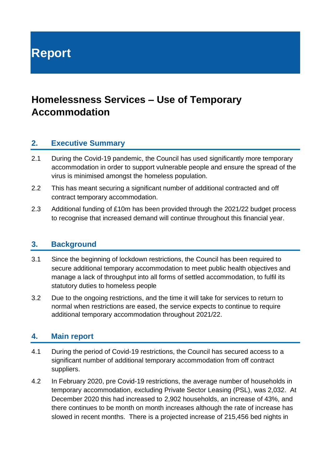**Report**

# **Homelessness Services – Use of Temporary Accommodation**

#### **2. Executive Summary**

- 2.1 During the Covid-19 pandemic, the Council has used significantly more temporary accommodation in order to support vulnerable people and ensure the spread of the virus is minimised amongst the homeless population.
- 2.2 This has meant securing a significant number of additional contracted and off contract temporary accommodation.
- 2.3 Additional funding of £10m has been provided through the 2021/22 budget process to recognise that increased demand will continue throughout this financial year.

#### **3. Background**

- 3.1 Since the beginning of lockdown restrictions, the Council has been required to secure additional temporary accommodation to meet public health objectives and manage a lack of throughput into all forms of settled accommodation, to fulfil its statutory duties to homeless people
- 3.2 Due to the ongoing restrictions, and the time it will take for services to return to normal when restrictions are eased, the service expects to continue to require additional temporary accommodation throughout 2021/22.

#### **4. Main report**

- 4.1 During the period of Covid-19 restrictions, the Council has secured access to a significant number of additional temporary accommodation from off contract suppliers.
- 4.2 In February 2020, pre Covid-19 restrictions, the average number of households in temporary accommodation, excluding Private Sector Leasing (PSL), was 2,032. At December 2020 this had increased to 2,902 households, an increase of 43%, and there continues to be month on month increases although the rate of increase has slowed in recent months. There is a projected increase of 215,456 bed nights in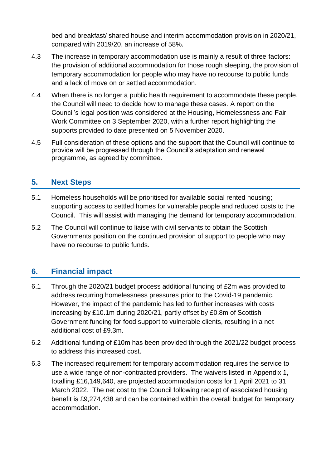bed and breakfast/ shared house and interim accommodation provision in 2020/21, compared with 2019/20, an increase of 58%.

- 4.3 The increase in temporary accommodation use is mainly a result of three factors: the provision of additional accommodation for those rough sleeping, the provision of temporary accommodation for people who may have no recourse to public funds and a lack of move on or settled accommodation.
- 4.4 When there is no longer a public health requirement to accommodate these people, the Council will need to decide how to manage these cases. A report on the Council's legal position was considered at the Housing, Homelessness and Fair Work Committee on 3 September 2020, with a further report highlighting the supports provided to date presented on 5 November 2020.
- 4.5 Full consideration of these options and the support that the Council will continue to provide will be progressed through the Council's adaptation and renewal programme, as agreed by committee.

# **5. Next Steps**

- 5.1 Homeless households will be prioritised for available social rented housing; supporting access to settled homes for vulnerable people and reduced costs to the Council. This will assist with managing the demand for temporary accommodation.
- 5.2 The Council will continue to liaise with civil servants to obtain the Scottish Governments position on the continued provision of support to people who may have no recourse to public funds.

### **6. Financial impact**

- 6.1 Through the 2020/21 budget process additional funding of £2m was provided to address recurring homelessness pressures prior to the Covid-19 pandemic. However, the impact of the pandemic has led to further increases with costs increasing by £10.1m during 2020/21, partly offset by £0.8m of Scottish Government funding for food support to vulnerable clients, resulting in a net additional cost of £9.3m.
- 6.2 Additional funding of £10m has been provided through the 2021/22 budget process to address this increased cost.
- 6.3 The increased requirement for temporary accommodation requires the service to use a wide range of non-contracted providers. The waivers listed in Appendix 1, totalling £16,149,640, are projected accommodation costs for 1 April 2021 to 31 March 2022. The net cost to the Council following receipt of associated housing benefit is £9,274,438 and can be contained within the overall budget for temporary accommodation.